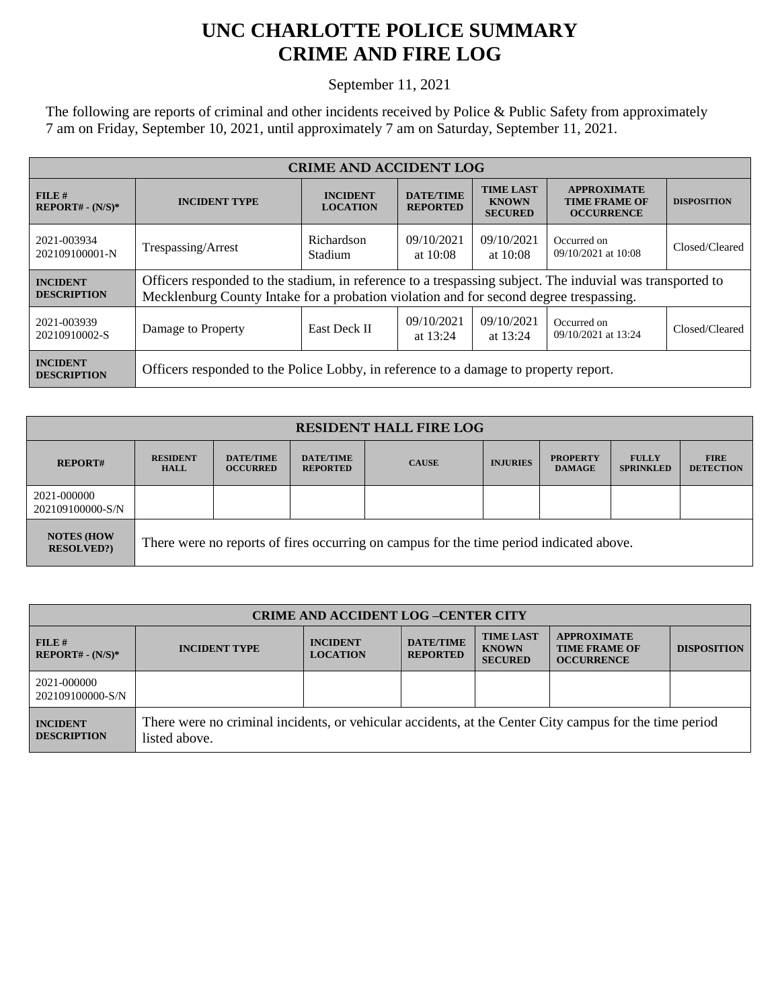## **UNC CHARLOTTE POLICE SUMMARY CRIME AND FIRE LOG**

September 11, 2021

The following are reports of criminal and other incidents received by Police & Public Safety from approximately 7 am on Friday, September 10, 2021, until approximately 7 am on Saturday, September 11, 2021.

| <b>CRIME AND ACCIDENT LOG</b>         |                                                                                                                                                                                                     |                                    |                                     |                                                    |                                                                 |                    |  |
|---------------------------------------|-----------------------------------------------------------------------------------------------------------------------------------------------------------------------------------------------------|------------------------------------|-------------------------------------|----------------------------------------------------|-----------------------------------------------------------------|--------------------|--|
| FILE#<br>$REPORT# - (N/S)*$           | <b>INCIDENT TYPE</b>                                                                                                                                                                                | <b>INCIDENT</b><br><b>LOCATION</b> | <b>DATE/TIME</b><br><b>REPORTED</b> | <b>TIME LAST</b><br><b>KNOWN</b><br><b>SECURED</b> | <b>APPROXIMATE</b><br><b>TIME FRAME OF</b><br><b>OCCURRENCE</b> | <b>DISPOSITION</b> |  |
| 2021-003934<br>202109100001-N         | Trespassing/Arrest                                                                                                                                                                                  | Richardson<br>Stadium              | 09/10/2021<br>at $10:08$            | 09/10/2021<br>at $10:08$                           | Occurred on<br>09/10/2021 at 10:08                              | Closed/Cleared     |  |
| <b>INCIDENT</b><br><b>DESCRIPTION</b> | Officers responded to the stadium, in reference to a trespassing subject. The induvial was transported to<br>Mecklenburg County Intake for a probation violation and for second degree trespassing. |                                    |                                     |                                                    |                                                                 |                    |  |
| 2021-003939<br>20210910002-S          | Damage to Property                                                                                                                                                                                  | <b>East Deck II</b>                | 09/10/2021<br>at $13:24$            | 09/10/2021<br>at 13:24                             | Occurred on<br>09/10/2021 at 13:24                              | Closed/Cleared     |  |
| <b>INCIDENT</b><br><b>DESCRIPTION</b> | Officers responded to the Police Lobby, in reference to a damage to property report.                                                                                                                |                                    |                                     |                                                    |                                                                 |                    |  |

| <b>RESIDENT HALL FIRE LOG</b>           |                                                                                         |                                     |                                     |              |                 |                                  |                                  |                                 |
|-----------------------------------------|-----------------------------------------------------------------------------------------|-------------------------------------|-------------------------------------|--------------|-----------------|----------------------------------|----------------------------------|---------------------------------|
| <b>REPORT#</b>                          | <b>RESIDENT</b><br><b>HALL</b>                                                          | <b>DATE/TIME</b><br><b>OCCURRED</b> | <b>DATE/TIME</b><br><b>REPORTED</b> | <b>CAUSE</b> | <b>INJURIES</b> | <b>PROPERTY</b><br><b>DAMAGE</b> | <b>FULLY</b><br><b>SPRINKLED</b> | <b>FIRE</b><br><b>DETECTION</b> |
| 2021-000000<br>202109100000-S/N         |                                                                                         |                                     |                                     |              |                 |                                  |                                  |                                 |
| <b>NOTES (HOW)</b><br><b>RESOLVED?)</b> | There were no reports of fires occurring on campus for the time period indicated above. |                                     |                                     |              |                 |                                  |                                  |                                 |

| <b>CRIME AND ACCIDENT LOG -CENTER CITY</b> |                                                                                                                          |                                    |                                     |                                                    |                                                                 |                    |
|--------------------------------------------|--------------------------------------------------------------------------------------------------------------------------|------------------------------------|-------------------------------------|----------------------------------------------------|-----------------------------------------------------------------|--------------------|
| FILE H<br>$REPORT# - (N/S)*$               | <b>INCIDENT TYPE</b>                                                                                                     | <b>INCIDENT</b><br><b>LOCATION</b> | <b>DATE/TIME</b><br><b>REPORTED</b> | <b>TIME LAST</b><br><b>KNOWN</b><br><b>SECURED</b> | <b>APPROXIMATE</b><br><b>TIME FRAME OF</b><br><b>OCCURRENCE</b> | <b>DISPOSITION</b> |
| 2021-000000<br>202109100000-S/N            |                                                                                                                          |                                    |                                     |                                                    |                                                                 |                    |
| <b>INCIDENT</b><br><b>DESCRIPTION</b>      | There were no criminal incidents, or vehicular accidents, at the Center City campus for the time period<br>listed above. |                                    |                                     |                                                    |                                                                 |                    |